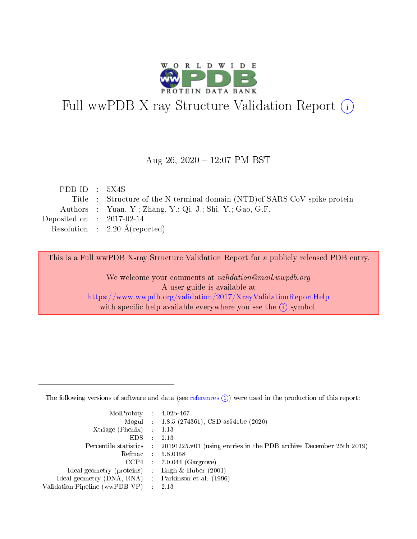

# Full wwPDB X-ray Structure Validation Report (i)

#### Aug 26,  $2020 - 12:07$  PM BST

| PDB ID : $5X4S$             |                                                                            |
|-----------------------------|----------------------------------------------------------------------------|
|                             | Title : Structure of the N-terminal domain (NTD) of SARS-CoV spike protein |
|                             | Authors : Yuan, Y.; Zhang, Y.; Qi, J.; Shi, Y.; Gao, G.F.                  |
| Deposited on : $2017-02-14$ |                                                                            |
|                             | Resolution : $2.20 \text{ Å}$ (reported)                                   |

This is a Full wwPDB X-ray Structure Validation Report for a publicly released PDB entry.

We welcome your comments at validation@mail.wwpdb.org A user guide is available at <https://www.wwpdb.org/validation/2017/XrayValidationReportHelp> with specific help available everywhere you see the  $(i)$  symbol.

The following versions of software and data (see [references](https://www.wwpdb.org/validation/2017/XrayValidationReportHelp#references)  $(1)$ ) were used in the production of this report:

| MolProbity : $4.02b-467$                            |                                                                                            |
|-----------------------------------------------------|--------------------------------------------------------------------------------------------|
|                                                     | Mogul : $1.8.5$ (274361), CSD as 541be (2020)                                              |
| $Xtriangle (Phenix)$ : 1.13                         |                                                                                            |
| $EDS$ :                                             | 2.13                                                                                       |
|                                                     | Percentile statistics : 20191225.v01 (using entries in the PDB archive December 25th 2019) |
| Refmac 58.0158                                      |                                                                                            |
|                                                     | $CCP4$ 7.0.044 (Gargrove)                                                                  |
| Ideal geometry (proteins) : Engh $\&$ Huber (2001)  |                                                                                            |
| Ideal geometry (DNA, RNA) : Parkinson et al. (1996) |                                                                                            |
| Validation Pipeline (wwPDB-VP) : 2.13               |                                                                                            |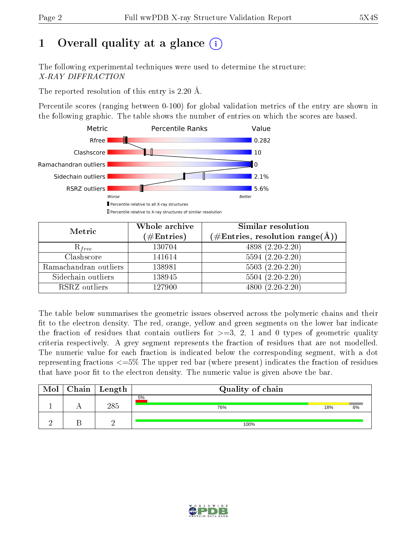# 1 [O](https://www.wwpdb.org/validation/2017/XrayValidationReportHelp#overall_quality)verall quality at a glance  $(i)$

The following experimental techniques were used to determine the structure: X-RAY DIFFRACTION

The reported resolution of this entry is 2.20 Å.

Percentile scores (ranging between 0-100) for global validation metrics of the entry are shown in the following graphic. The table shows the number of entries on which the scores are based.



| Metric                | Whole archive<br>$(\#\text{Entries})$ | Similar resolution<br>$(\#\text{Entries}, \, \text{resolution range}(\textup{\AA}))$ |
|-----------------------|---------------------------------------|--------------------------------------------------------------------------------------|
| $R_{free}$            | 130704                                | 4898 (2.20-2.20)                                                                     |
| Clashscore            | 141614                                | $5594(2.20-2.20)$                                                                    |
| Ramachandran outliers | 138981                                | $5503(2.20-2.20)$                                                                    |
| Sidechain outliers    | 138945                                | $5504(2.20-2.20)$                                                                    |
| RSRZ outliers         | 127900                                | $4800(2.20-2.20)$                                                                    |

The table below summarises the geometric issues observed across the polymeric chains and their fit to the electron density. The red, orange, yellow and green segments on the lower bar indicate the fraction of residues that contain outliers for  $>=3, 2, 1$  and 0 types of geometric quality criteria respectively. A grey segment represents the fraction of residues that are not modelled. The numeric value for each fraction is indicated below the corresponding segment, with a dot representing fractions  $\epsilon=5\%$  The upper red bar (where present) indicates the fraction of residues that have poor fit to the electron density. The numeric value is given above the bar.

| Mol | $Chain \  Length$ | Quality of chain |     |    |
|-----|-------------------|------------------|-----|----|
|     | $285\,$           | 5%<br>76%        | 18% | 6% |
|     | $\Omega$          | 100%             |     |    |

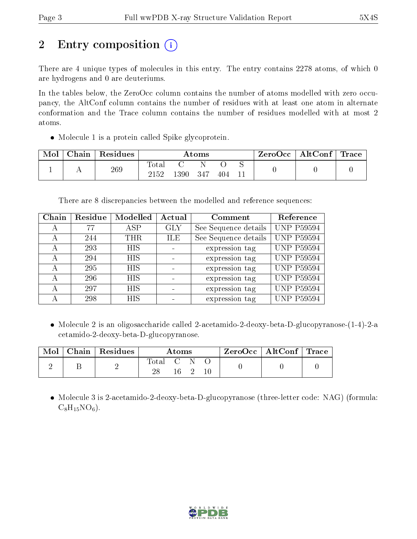# 2 Entry composition (i)

There are 4 unique types of molecules in this entry. The entry contains 2278 atoms, of which 0 are hydrogens and 0 are deuteriums.

In the tables below, the ZeroOcc column contains the number of atoms modelled with zero occupancy, the AltConf column contains the number of residues with at least one atom in alternate conformation and the Trace column contains the number of residues modelled with at most 2 atoms.

• Molecule 1 is a protein called Spike glycoprotein.

| Mol | Chain | Residues | $\rm{Atoms}$        |      |       |     |  | $ZeroOcc \mid AltConf \mid$ | Trace |
|-----|-------|----------|---------------------|------|-------|-----|--|-----------------------------|-------|
|     |       | 269      | $\rm Total$<br>2152 | 1390 | - 347 | 404 |  |                             |       |

There are 8 discrepancies between the modelled and reference sequences:

| Chain | Residue | Modelled   | Actual     | Comment              | Reference         |
|-------|---------|------------|------------|----------------------|-------------------|
| А     | 77      | ASP        | <b>GLY</b> | See Sequence details | <b>UNP P59594</b> |
| А     | 244     | THR.       | ILE.       | See Sequence details | <b>UNP P59594</b> |
| А     | 293     | <b>HIS</b> |            | expression tag       | <b>UNP P59594</b> |
| А     | 294     | <b>HIS</b> |            | expression tag       | <b>UNP P59594</b> |
| А     | 295     | <b>HIS</b> |            | expression tag       | <b>UNP P59594</b> |
| А     | 296     | <b>HIS</b> |            | expression tag       | <b>UNP P59594</b> |
| А     | 297     | <b>HIS</b> |            | expression tag       | <b>UNP P59594</b> |
|       | 298     | <b>HIS</b> |            | expression tag       | <b>UNP P59594</b> |

• Molecule 2 is an oligosaccharide called 2-acetamido-2-deoxy-beta-D-glucopyranose-(1-4)-2-a cetamido-2-deoxy-beta-D-glucopyranose.

| Mol | Chain   Residues | Atoms       |                   |  |  | ZeroOcc   AltConf   Trace |  |
|-----|------------------|-------------|-------------------|--|--|---------------------------|--|
|     |                  | Total<br>ററ | $\sim$ 0.1 $\sim$ |  |  |                           |  |

• Molecule 3 is 2-acetamido-2-deoxy-beta-D-glucopyranose (three-letter code: NAG) (formula:  $C_8H_{15}NO_6$ ).

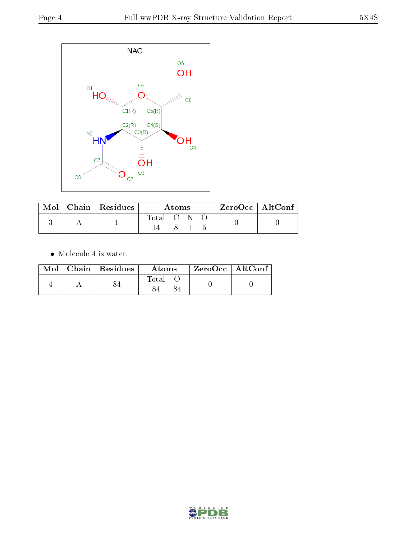

|  | $\blacksquare$ Mol $\vert$ Chain $\vert$ Residues | A toms      |  |  | ZeroOcc   AltConf |  |
|--|---------------------------------------------------|-------------|--|--|-------------------|--|
|  |                                                   | Total C N O |  |  |                   |  |
|  |                                                   |             |  |  |                   |  |

 $\bullet\,$  Molecule 4 is water.

|  | $Mol$   Chain   Residues | Atoms | $ZeroOcc \mid AltConf \mid$ |
|--|--------------------------|-------|-----------------------------|
|  |                          | Total |                             |

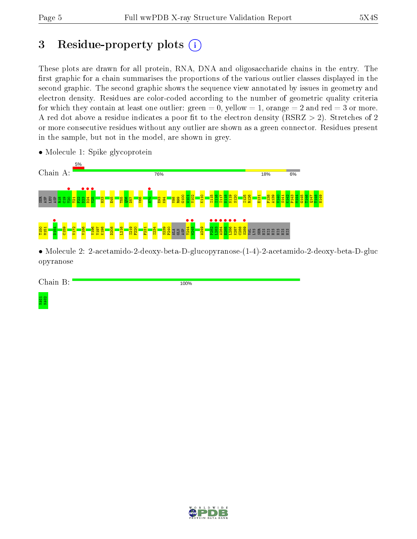# 3 Residue-property plots  $(i)$

These plots are drawn for all protein, RNA, DNA and oligosaccharide chains in the entry. The first graphic for a chain summarises the proportions of the various outlier classes displayed in the second graphic. The second graphic shows the sequence view annotated by issues in geometry and electron density. Residues are color-coded according to the number of geometric quality criteria for which they contain at least one outlier: green  $= 0$ , yellow  $= 1$ , orange  $= 2$  and red  $= 3$  or more. A red dot above a residue indicates a poor fit to the electron density ( $\text{RSRZ} > 2$ ). Stretches of 2 or more consecutive residues without any outlier are shown as a green connector. Residues present in the sample, but not in the model, are shown in grey.



• Molecule 1: Spike glycoprotein

• Molecule 2: 2-acetamido-2-deoxy-beta-D-glucopyranose-(1-4)-2-acetamido-2-deoxy-beta-D-gluc opyranose

Chain B:

100%

NAG1 NAG2

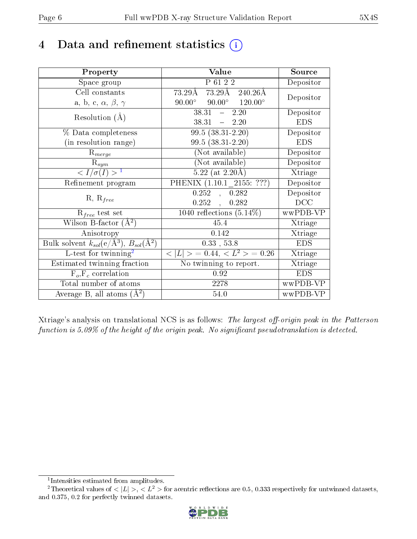# 4 Data and refinement statistics  $(i)$

| Property                                                         | Value                                                     | Source     |
|------------------------------------------------------------------|-----------------------------------------------------------|------------|
| Space group                                                      | P 61 2 2                                                  | Depositor  |
| Cell constants                                                   | $73.29\text{\AA}$ $\overline{240.26\text{\AA}}$<br>73.29Å | Depositor  |
| a, b, c, $\alpha$ , $\beta$ , $\gamma$                           | $90.00^{\circ}$ $90.00^{\circ}$ $120.00^{\circ}$          |            |
| Resolution $(A)$                                                 | $38.31 - 2.20$                                            | Depositor  |
|                                                                  | $38.31 - 2.20$                                            | <b>EDS</b> |
| % Data completeness                                              | $99.5(38.31-2.20)$                                        | Depositor  |
| (in resolution range)                                            | $99.5(38.31-2.20)$                                        | <b>EDS</b> |
| $R_{merge}$                                                      | (Not available)                                           | Depositor  |
| $\mathrm{R}_{sym}$                                               | (Not available)                                           | Depositor  |
| $\langle I/\sigma(I) \rangle^{-1}$                               | $5.22$ (at 2.20Å)                                         | Xtriage    |
| Refinement program                                               | PHENIX (1.10.1 2155: ???)                                 | Depositor  |
| $R, R_{free}$                                                    | 0.252<br>0.282<br>$\mathbf{A}$                            | Depositor  |
|                                                                  | 0.252,<br>0.282                                           | DCC        |
| $\mathcal{R}_{free}$ test set                                    | $\overline{1040}$ reflections $(5.14\%)$                  | wwPDB-VP   |
| Wilson B-factor $(A^2)$                                          | 45.4                                                      | Xtriage    |
| Anisotropy                                                       | 0.142                                                     | Xtriage    |
| Bulk solvent $k_{sol}(\text{e}/\text{A}^3), B_{sol}(\text{A}^2)$ | $0.33$ , 53.8                                             | <b>EDS</b> |
| L-test for $\mathrm{twinning}^2$                                 | $< L >$ = 0.44, $< L2 >$ = 0.26                           | Xtriage    |
| Estimated twinning fraction                                      | No twinning to report.                                    | Xtriage    |
| $F_o, F_c$ correlation                                           | 0.92                                                      | <b>EDS</b> |
| Total number of atoms                                            | 2278                                                      | wwPDB-VP   |
| Average B, all atoms $(A^2)$                                     | 54.0                                                      | wwPDB-VP   |

Xtriage's analysis on translational NCS is as follows: The largest off-origin peak in the Patterson function is  $5.09\%$  of the height of the origin peak. No significant pseudotranslation is detected.

<sup>&</sup>lt;sup>2</sup>Theoretical values of  $\langle |L| \rangle$ ,  $\langle L^2 \rangle$  for acentric reflections are 0.5, 0.333 respectively for untwinned datasets, and 0.375, 0.2 for perfectly twinned datasets.



<span id="page-5-1"></span><span id="page-5-0"></span><sup>1</sup> Intensities estimated from amplitudes.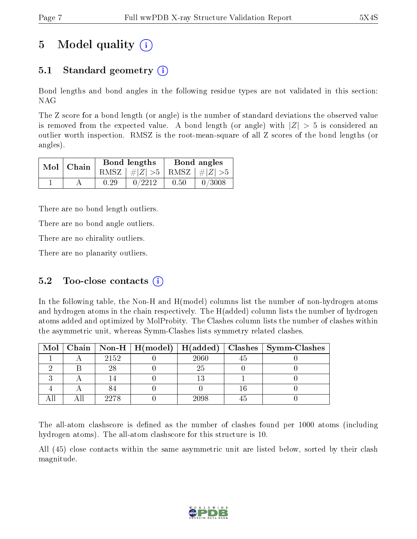# 5 Model quality  $(i)$

### 5.1 Standard geometry  $(i)$

Bond lengths and bond angles in the following residue types are not validated in this section: NAG

The Z score for a bond length (or angle) is the number of standard deviations the observed value is removed from the expected value. A bond length (or angle) with  $|Z| > 5$  is considered an outlier worth inspection. RMSZ is the root-mean-square of all Z scores of the bond lengths (or angles).

| $Mol$   Chain |      | Bond lengths                    | Bond angles |        |  |
|---------------|------|---------------------------------|-------------|--------|--|
|               |      | RMSZ $ #Z  > 5$ RMSZ $ #Z  > 5$ |             |        |  |
|               | 0.29 | 0/2212                          | 0.50        | 0/3008 |  |

There are no bond length outliers.

There are no bond angle outliers.

There are no chirality outliers.

There are no planarity outliers.

#### 5.2 Too-close contacts  $(i)$

In the following table, the Non-H and H(model) columns list the number of non-hydrogen atoms and hydrogen atoms in the chain respectively. The H(added) column lists the number of hydrogen atoms added and optimized by MolProbity. The Clashes column lists the number of clashes within the asymmetric unit, whereas Symm-Clashes lists symmetry related clashes.

|  |      |      | Mol   Chain   Non-H   H(model)   H(added)   Clashes   Symm-Clashes |
|--|------|------|--------------------------------------------------------------------|
|  | 2152 | 2060 |                                                                    |
|  | 28   | 25   |                                                                    |
|  |      |      |                                                                    |
|  |      |      |                                                                    |
|  | 2278 | 2098 |                                                                    |

The all-atom clashscore is defined as the number of clashes found per 1000 atoms (including hydrogen atoms). The all-atom clashscore for this structure is 10.

All (45) close contacts within the same asymmetric unit are listed below, sorted by their clash magnitude.

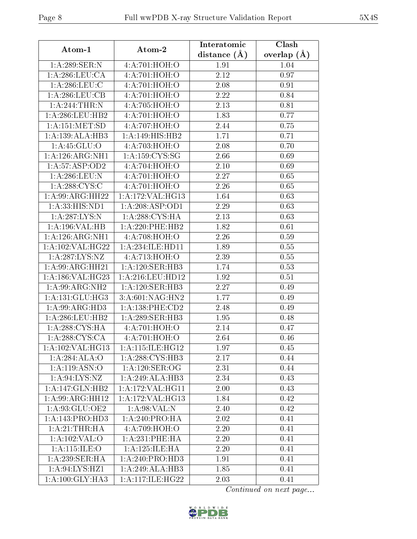| Atom-1                             | Atom-2              | Interatomic    | Clash         |
|------------------------------------|---------------------|----------------|---------------|
|                                    |                     | distance $(A)$ | overlap $(A)$ |
| 1:A:289:SER:N                      | 4:A:701:HOH:O       | 1.91           | 1.04          |
| 1: A:286: LEU: CA                  | 4: A:701:HOH:O      | 2.12           | 0.97          |
| 1: A:286:LEU:C                     | 4:A:701:HOH:O       | 2.08           | 0.91          |
| 1: A:286:LEU:CB                    | 4:A:701:HOH:O       | 2.22           | 0.84          |
| 1:A:244:THR:N                      | 4:A:705:HOH:O       | 2.13           | 0.81          |
| 1: A:286:LEU:HB2                   | 4:A:701:HOH:O       | 1.83           | 0.77          |
| 1:A:151:MET:SD                     | 4:A:707:HOH:O       | 2.44           | 0.75          |
| 1:A:139:ALA:HB3                    | 1:A:149:HIS:HB2     | 1.71           | 0.71          |
| 1: A:45: GLU:O                     | 4:A:703:HOH:O       | 2.08           | 0.70          |
| 1:A:126:ARG:NH1                    | 1:A:159:CYS:SG      | 2.66           | 0.69          |
| 1:A:57:ASP:OD2                     | 4:A:704:HOH:O       | 2.10           | 0.69          |
| 1:A:286:LEU:N                      | 4:A:701:HOH:O       | 2.27           | 0.65          |
| 1: A:288: CYS:C                    | 4:A:701:HOH:O       | 2.26           | 0.65          |
| 1:A:99:ARG:HH22                    | 1: A:172: VAL:HG13  | 1.64           | 0.63          |
| 1:A:33:HIS:ND1                     | 1:A:208:ASP:OD1     | 2.29           | 0.63          |
| 1: A:287:LYS:N                     | 1: A:288:CYS:HA     | 2.13           | 0.63          |
| 1:A:196:VAL:HB                     | 1:A:220:PHE:HB2     | 1.82           | 0.61          |
| 1:A:126:ARG:NH1                    | 4:A:708:HOH:O       | 2.26           | 0.59          |
| 1:A:102:VAL:HG22                   | 1: A:234: ILE: HD11 | 1.89           | 0.55          |
| 1:A:287:LYS:NZ                     | 4:A:713:HOH:O       | 2.39           | 0.55          |
| 1:A:99:ARG:HH21                    | 1:A:120:SER:HB3     | 1.74           | 0.53          |
| 1:A:186:VAL:HG23                   | 1:A:216:LEU:HD12    | 1.92           | 0.51          |
| 1:A:99:ARG:NH2                     | 1:A:120:SER:HB3     | 2.27           | 0.49          |
| 1: A:131: GLU: HG3                 | 3:A:601:NAG:HN2     | 1.77           | 0.49          |
| 1: A:99: ARG:HD3                   | 1: A: 138: PHE: CD2 | 2.48           | 0.49          |
| 1: A:286:LEU:HB2                   | 1: A:289: SER: HB3  | 1.95           | 0.48          |
| 1: A:288:CYS:HA                    | 4:A:701:HOH:O       | 2.14           | 0.47          |
| 1: A:288: CYS:CA                   | 4:A:701:HOH:O       | 2.64           | 0.46          |
| 1:A:102:VAL:HG13                   | 1: A:115: ILE: HG12 | 1.97           | 0.45          |
| 1: A:284: ALA:O                    | 1: A:288: CYS:HB3   | 2.17           | 0.44          |
| 1:A:119:ASN:O                      | 1: A:120: SER:OG    | 2.31           | 0.44          |
| 1: A:94: LYS: NZ                   | 1:A:249:ALA:HB3     | 2.34           | 0.43          |
| 1:A:147:GLN:HB2                    | 1:A:172:VAL:HG11    | 2.00           | 0.43          |
| 1:A:99:ARG:HH12                    | 1: A:172: VAL:HG13  | 1.84           | 0.42          |
| 1:A:93:GLU:OE2                     | 1: A:98: VAL: N     | 2.40           | 0.42          |
| 1:A:143:PRO:HD3                    | 1: A:240:PRO:HA     | 2.02           | 0.41          |
| 1:A:21:THR:HA                      | 4:A:709:HOH:O       | 2.20           | 0.41          |
| 1:A:102:VAL:O                      | 1: A:231:PHE:HA     | 2.20           | $0.41\,$      |
| 1: A:115: ILE: O                   | 1:A:125:ILE:HA      | 2.20           | 0.41          |
| 1:A:239:SER:HA                     | 1: A:240:PRO:HD3    | 1.91           | 0.41          |
| $1:A:94:\overline{\text{LYS:HZ1}}$ | 1:A:249:ALA:HB3     | 1.85           | 0.41          |
| 1: A:100: GLY: HA3                 | 1: A:117: ILE: HG22 | 2.03           | 0.41          |

Continued on next page...

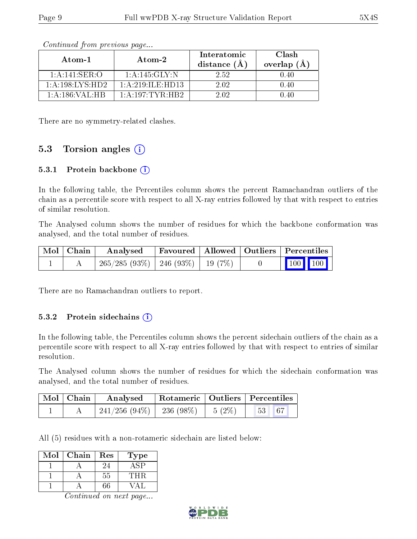| Atom-1             | Atom-2               | Interatomic<br>distance $(A)$ | Clash<br>overlap (Å |
|--------------------|----------------------|-------------------------------|---------------------|
| 1:A:141:SER:O      | 1: A: 145: GLY:N     | 2.52                          | 0.40                |
| 1: A:198:LYS:HD2   | 1: A: 219: ILF: HD13 | 2.02                          | 0.40                |
| 1: A: 186: VAL: HB | 1: A: 197: TYR: HB2  | 2.02                          | 140                 |

Continued from previous page...

There are no symmetry-related clashes.

#### 5.3 Torsion angles  $(i)$

#### 5.3.1 Protein backbone (i)

In the following table, the Percentiles column shows the percent Ramachandran outliers of the chain as a percentile score with respect to all X-ray entries followed by that with respect to entries of similar resolution.

The Analysed column shows the number of residues for which the backbone conformation was analysed, and the total number of residues.

| Mol   Chain | Analysed                                | Favoured   Allowed   Outliers   Percentiles |  |                 |
|-------------|-----------------------------------------|---------------------------------------------|--|-----------------|
|             | $265/285(93\%)$   246 (93\%)   19 (7\%) |                                             |  | $\vert$ 100 100 |

There are no Ramachandran outliers to report.

#### 5.3.2 Protein sidechains  $(i)$

In the following table, the Percentiles column shows the percent sidechain outliers of the chain as a percentile score with respect to all X-ray entries followed by that with respect to entries of similar resolution.

The Analysed column shows the number of residues for which the sidechain conformation was analysed, and the total number of residues.

| Mol   Chain | Rotameric   Outliers   Percentiles<br>Analysed      |  |                                                    |  |
|-------------|-----------------------------------------------------|--|----------------------------------------------------|--|
|             | $\mid$ 241/256 (94%) $\mid$ 236 (98%) $\mid$ 5 (2%) |  | $\begin{array}{ c c c c c } \hline 67 \end{array}$ |  |

All (5) residues with a non-rotameric sidechain are listed below:

| Mol | Chain | Res | l'ype        |
|-----|-------|-----|--------------|
|     |       |     |              |
|     |       | 55  | $\mathsf{H}$ |
|     |       | ິາ6 |              |

Continued on next page...

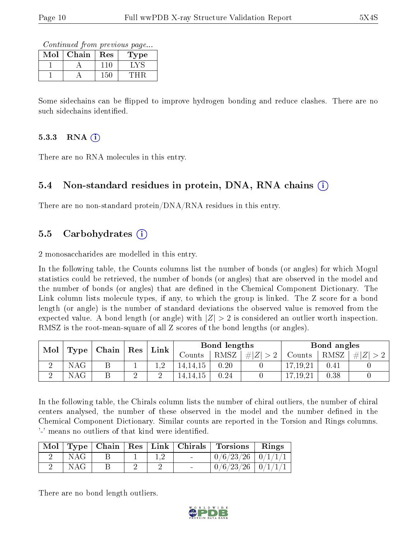Continued from previous page...

| $\operatorname{Mol}$ | Chain | Res | <b>Type</b>   |
|----------------------|-------|-----|---------------|
|                      |       |     | $\sim$ $\sim$ |
|                      |       | 150 |               |

Some sidechains can be flipped to improve hydrogen bonding and reduce clashes. There are no such sidechains identified.

#### $5.3.3$  RNA  $(i)$

There are no RNA molecules in this entry.

#### 5.4 Non-standard residues in protein, DNA, RNA chains (i)

There are no non-standard protein/DNA/RNA residues in this entry.

#### 5.5 Carbohydrates (i)

2 monosaccharides are modelled in this entry.

In the following table, the Counts columns list the number of bonds (or angles) for which Mogul statistics could be retrieved, the number of bonds (or angles) that are observed in the model and the number of bonds (or angles) that are dened in the Chemical Component Dictionary. The Link column lists molecule types, if any, to which the group is linked. The Z score for a bond length (or angle) is the number of standard deviations the observed value is removed from the expected value. A bond length (or angle) with  $|Z| > 2$  is considered an outlier worth inspection. RMSZ is the root-mean-square of all Z scores of the bond lengths (or angles).

| Mol | <b>Type</b> | $\mid$ Chain $\mid$ Res $\mid$ | Link |          | Bond lengths |      |            | Bond angles |               |
|-----|-------------|--------------------------------|------|----------|--------------|------|------------|-------------|---------------|
|     |             |                                |      | Counts   | RMSZ         | H  Z | Counts     | RMSZ        | #<br>$\Delta$ |
|     | NAG         |                                |      | 14,14,15 | 0.20         |      | 17,19,21   | 0.41        |               |
|     | NAG         |                                |      | 14,14,15 | 0.24         |      | 17, 19, 21 | 0.38        |               |

In the following table, the Chirals column lists the number of chiral outliers, the number of chiral centers analysed, the number of these observed in the model and the number defined in the Chemical Component Dictionary. Similar counts are reported in the Torsion and Rings columns. '-' means no outliers of that kind were identified.

|     |  |  | Mol   Type   Chain   Res   Link   Chirals   Torsions   Rings |  |
|-----|--|--|--------------------------------------------------------------|--|
| NAG |  |  | $\mid 0/6/23/26 \mid 0/1/1/1 \mid$                           |  |
| NAG |  |  | $0/6/23/26$   $0/1/1/1$                                      |  |

There are no bond length outliers.

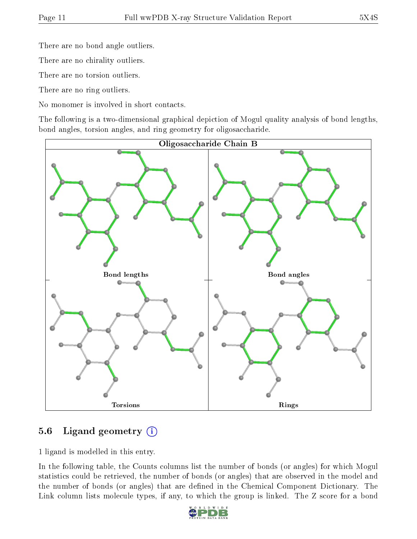There are no bond angle outliers.

There are no chirality outliers.

There are no torsion outliers.

There are no ring outliers.

No monomer is involved in short contacts.

The following is a two-dimensional graphical depiction of Mogul quality analysis of bond lengths, bond angles, torsion angles, and ring geometry for oligosaccharide.



### 5.6 Ligand geometry  $(i)$

1 ligand is modelled in this entry.

In the following table, the Counts columns list the number of bonds (or angles) for which Mogul statistics could be retrieved, the number of bonds (or angles) that are observed in the model and the number of bonds (or angles) that are defined in the Chemical Component Dictionary. The Link column lists molecule types, if any, to which the group is linked. The Z score for a bond

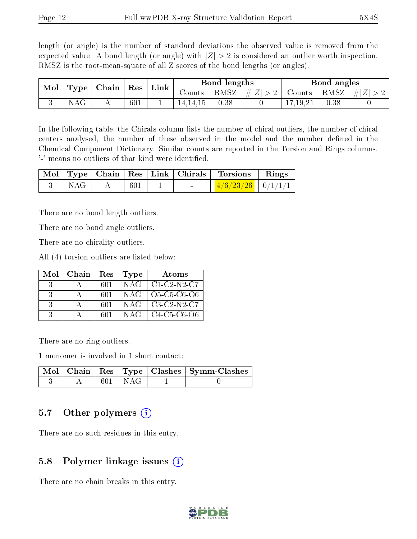length (or angle) is the number of standard deviations the observed value is removed from the expected value. A bond length (or angle) with  $|Z| > 2$  is considered an outlier worth inspection. RMSZ is the root-mean-square of all Z scores of the bond lengths (or angles).

| Mol |    | Type   Chain | $^{\circ}$ Res | Link |          | Bond lengths |         |        | Bond angles |           |
|-----|----|--------------|----------------|------|----------|--------------|---------|--------|-------------|-----------|
|     |    |              |                |      | Counts   | RMSZ         | $\# Z $ | Counts | RMSZ        | $\pm  Z $ |
|     | N. |              | 601            |      | 14.14.15 | 0.38         |         |        | 0.38        |           |

In the following table, the Chirals column lists the number of chiral outliers, the number of chiral centers analysed, the number of these observed in the model and the number defined in the Chemical Component Dictionary. Similar counts are reported in the Torsion and Rings columns. '-' means no outliers of that kind were identified.

|     |     |                      | Mol   Type   Chain   Res   Link   Chirals   Torsions   Rings |  |
|-----|-----|----------------------|--------------------------------------------------------------|--|
| NAG | 601 | and the state of the | $\frac{4}{6} \frac{23}{26}$ 0/1/1/1                          |  |

There are no bond length outliers.

There are no bond angle outliers.

There are no chirality outliers.

All (4) torsion outliers are listed below:

| Mol           | ∣ Chain | Res | <b>Type</b> | Atoms                                                          |
|---------------|---------|-----|-------------|----------------------------------------------------------------|
| $\mathcal{R}$ |         | 601 | NAG-        | $C1-C2-N2-C7$                                                  |
| $\mathcal{R}$ |         | 601 | NAG-        | O <sub>5</sub> -C <sub>5</sub> -C <sub>6</sub> -O <sub>6</sub> |
| $\mathcal{S}$ |         | 601 | NAG         | $C3-C2-N2-C7$                                                  |
| 3             |         | 601 | NAG         | $C4-C5-C6-O6$                                                  |

There are no ring outliers.

1 monomer is involved in 1 short contact:

|  |             | $\lceil \, \text{Mol} \, \rceil \, \text{Chain} \, \mid \text{Res} \mid \text{Type} \mid \text{Class} \mid \text{Symm-Class} \mid$ |
|--|-------------|------------------------------------------------------------------------------------------------------------------------------------|
|  | $601$   NAG |                                                                                                                                    |

#### 5.7 [O](https://www.wwpdb.org/validation/2017/XrayValidationReportHelp#nonstandard_residues_and_ligands)ther polymers  $(i)$

There are no such residues in this entry.

#### 5.8 Polymer linkage issues  $(i)$

There are no chain breaks in this entry.

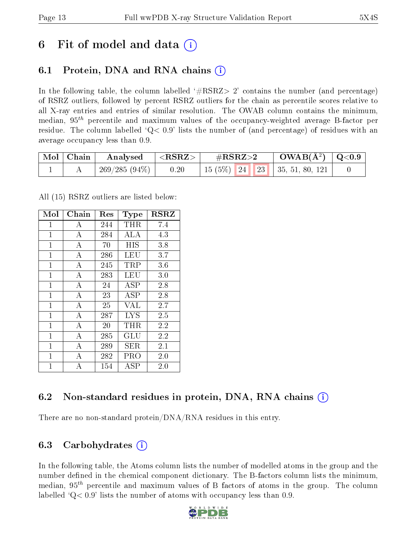### 6 Fit of model and data  $\left( \cdot \right)$

### 6.1 Protein, DNA and RNA chains (i)

In the following table, the column labelled  $#RSRZ> 2'$  contains the number (and percentage) of RSRZ outliers, followed by percent RSRZ outliers for the chain as percentile scores relative to all X-ray entries and entries of similar resolution. The OWAB column contains the minimum, median,  $95<sup>th</sup>$  percentile and maximum values of the occupancy-weighted average B-factor per residue. The column labelled ' $Q< 0.9$ ' lists the number of (and percentage) of residues with an average occupancy less than 0.9.

| $\mid$ Mol $\mid$ Chain $\mid$ | Analysed      | $ \langle \mathrm{RSRZ}\rangle $ | $\rm \#RSRZ{>}2$ | $\text{OWAB}(\AA^2) \ \mid \text{Q}<0.9 \ \mid$ |  |
|--------------------------------|---------------|----------------------------------|------------------|-------------------------------------------------|--|
|                                | 269/285 (94%) | 0.20                             |                  | 15 (5%)   24   23   35, 51, 80, 121             |  |

All (15) RSRZ outliers are listed below:

| Mol            | Chain          | $\operatorname{Res}% \left( \mathcal{N}\right) \equiv\operatorname{Res}(\mathcal{N}_{0})\cap\mathcal{N}_{1}$ | Type       | <b>RSRZ</b> |
|----------------|----------------|--------------------------------------------------------------------------------------------------------------|------------|-------------|
| $\mathbf{1}$   | A              | 244                                                                                                          | THR.       | 7.4         |
| $\mathbf{1}$   | $\bf{A}$       | 284                                                                                                          | <b>ALA</b> | 4.3         |
| $\mathbf{1}$   | $\overline{A}$ | 70                                                                                                           | HIS        | 3.8         |
| $\mathbf{1}$   | А              | 286                                                                                                          | LEU        | 3.7         |
| $\mathbf{1}$   | А              | 245                                                                                                          | TRP        | 3.6         |
| $\mathbf{1}$   | $\overline{A}$ | 283                                                                                                          | LEU        | 3.0         |
| $\overline{1}$ | А              | 24                                                                                                           | ASP        | 2.8         |
| $\mathbf{1}$   | A              | 23                                                                                                           | ASP        | 2.8         |
| $\mathbf{1}$   | $\overline{A}$ | 25                                                                                                           | <b>VAL</b> | 2.7         |
| $\mathbf{1}$   | А              | 287                                                                                                          | <b>LYS</b> | 2.5         |
| $\mathbf{1}$   | $\bf{A}$       | 20                                                                                                           | $\rm THR$  | 2.2         |
| $\overline{1}$ | $\overline{A}$ | 285                                                                                                          | GLU        | 2.2         |
| $\mathbf{1}$   | А              | 289                                                                                                          | SER        | 2.1         |
| 1              | $\bf{A}$       | 282                                                                                                          | PRO        | 2.0         |
| $\overline{1}$ | A              | 154                                                                                                          | <b>ASP</b> | 2.0         |

### 6.2 Non-standard residues in protein, DNA, RNA chains  $(i)$

There are no non-standard protein/DNA/RNA residues in this entry.

#### 6.3 Carbohydrates  $(i)$

In the following table, the Atoms column lists the number of modelled atoms in the group and the number defined in the chemical component dictionary. The B-factors column lists the minimum, median,  $95<sup>th</sup>$  percentile and maximum values of B factors of atoms in the group. The column labelled  $Q< 0.9$ ' lists the number of atoms with occupancy less than 0.9.

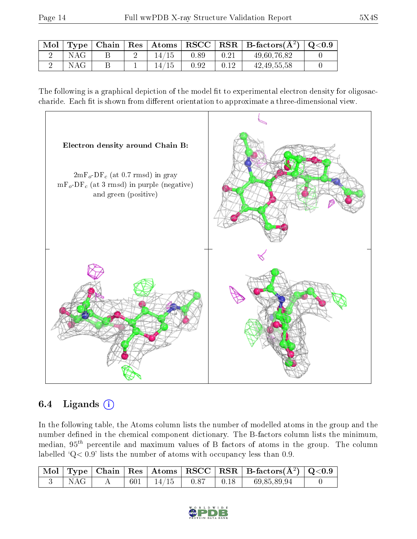|     |  |     |      |      | $\vert$ Mol $\vert$ Type $\vert$ Chain $\vert$ Res $\vert$ Atoms $\vert$ RSCC $\vert$ RSR $\vert$ B-factors(A <sup>2</sup> ) $\vert$ Q<0.9 |  |
|-----|--|-----|------|------|--------------------------------------------------------------------------------------------------------------------------------------------|--|
| NAG |  |     | 0.89 | 0.21 | 49,60,76,82                                                                                                                                |  |
| NAG |  | 14/ | 0.92 | 0.12 | 42, 49, 55, 58                                                                                                                             |  |

The following is a graphical depiction of the model fit to experimental electron density for oligosaccharide. Each fit is shown from different orientation to approximate a three-dimensional view.



### 6.4 Ligands  $(i)$

In the following table, the Atoms column lists the number of modelled atoms in the group and the number defined in the chemical component dictionary. The B-factors column lists the minimum, median,  $95<sup>th</sup>$  percentile and maximum values of B factors of atoms in the group. The column labelled ' $Q< 0.9$ ' lists the number of atoms with occupancy less than 0.9.

|     |  |                                   |  | $\perp$ Mol   Type   Chain   Res   Atoms   RSCC   RSR   B-factors(A <sup>2</sup> )   Q<0.9 |  |
|-----|--|-----------------------------------|--|--------------------------------------------------------------------------------------------|--|
| NAG |  | $601$   $14/15$   $0.87$   $0.18$ |  | 69,85,89,94                                                                                |  |